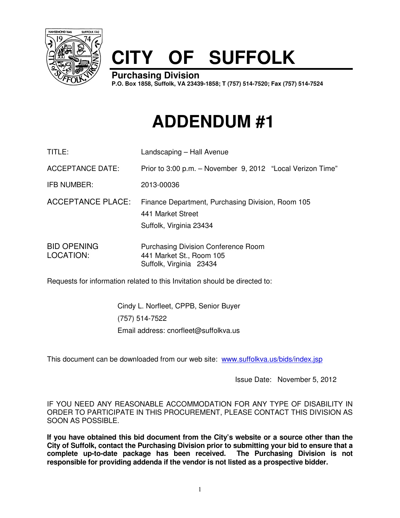

## **CITY OF SUFFOLK**

**Purchasing Division** 

**P.O. Box 1858, Suffolk, VA 23439-1858; T (757) 514-7520; Fax (757) 514-7524**

## **ADDENDUM #1**

| TITLE:                          | Landscaping - Hall Avenue                                                                         |
|---------------------------------|---------------------------------------------------------------------------------------------------|
| <b>ACCEPTANCE DATE:</b>         | Prior to 3:00 p.m. - November 9, 2012 "Local Verizon Time"                                        |
| IFB NUMBER:                     | 2013-00036                                                                                        |
| <b>ACCEPTANCE PLACE:</b>        | Finance Department, Purchasing Division, Room 105<br>441 Market Street<br>Suffolk, Virginia 23434 |
| <b>BID OPENING</b><br>LOCATION: | <b>Purchasing Division Conference Room</b><br>441 Market St., Room 105                            |

Requests for information related to this Invitation should be directed to:

Cindy L. Norfleet, CPPB, Senior Buyer (757) 514-7522 Email address: cnorfleet@suffolkva.us

Suffolk, Virginia 23434

This document can be downloaded from our web site: www.suffolkva.us/bids/index.jsp

Issue Date: November 5, 2012

IF YOU NEED ANY REASONABLE ACCOMMODATION FOR ANY TYPE OF DISABILITY IN ORDER TO PARTICIPATE IN THIS PROCUREMENT, PLEASE CONTACT THIS DIVISION AS SOON AS POSSIBLE.

**If you have obtained this bid document from the City's website or a source other than the City of Suffolk, contact the Purchasing Division prior to submitting your bid to ensure that a complete up-to-date package has been received. The Purchasing Division is not responsible for providing addenda if the vendor is not listed as a prospective bidder.**